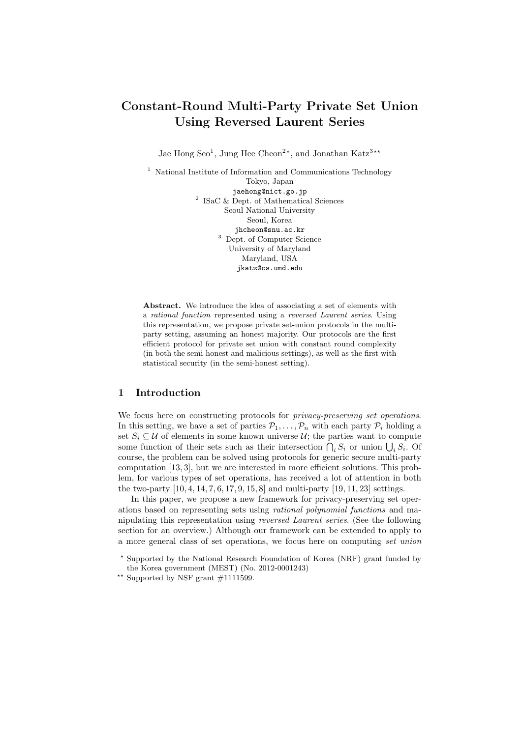# Constant-Round Multi-Party Private Set Union Using Reversed Laurent Series

Jae Hong Seo<sup>1</sup>, Jung Hee Cheon<sup>2\*</sup>, and Jonathan Katz<sup>3\*\*</sup>

<sup>1</sup> National Institute of Information and Communications Technology Tokyo, Japan jaehong@nict.go.jp 2 ISaC & Dept. of Mathematical Sciences Seoul National University Seoul, Korea jhcheon@snu.ac.kr <sup>3</sup> Dept. of Computer Science University of Maryland Maryland, USA jkatz@cs.umd.edu

Abstract. We introduce the idea of associating a set of elements with a rational function represented using a reversed Laurent series. Using this representation, we propose private set-union protocols in the multiparty setting, assuming an honest majority. Our protocols are the first efficient protocol for private set union with constant round complexity (in both the semi-honest and malicious settings), as well as the first with statistical security (in the semi-honest setting).

# 1 Introduction

We focus here on constructing protocols for *privacy-preserving set operations*. In this setting, we have a set of parties  $P_1, \ldots, P_n$  with each party  $P_i$  holding a set  $S_i \subseteq \mathcal{U}$  of elements in some known universe  $\mathcal{U}$ ; the parties want to compute some function of their sets such as their intersection  $\bigcap_i S_i$  or union  $\bigcup_i S_i$ . Of course, the problem can be solved using protocols for generic secure multi-party computation [13, 3], but we are interested in more efficient solutions. This problem, for various types of set operations, has received a lot of attention in both the two-party [10, 4, 14, 7, 6, 17, 9, 15, 8] and multi-party [19, 11, 23] settings.

In this paper, we propose a new framework for privacy-preserving set operations based on representing sets using rational polynomial functions and manipulating this representation using reversed Laurent series. (See the following section for an overview.) Although our framework can be extended to apply to a more general class of set operations, we focus here on computing set union

<sup>?</sup> Supported by the National Research Foundation of Korea (NRF) grant funded by the Korea government (MEST) (No. 2012-0001243)

<sup>\*\*</sup> Supported by NSF grant  $\#1111599$ .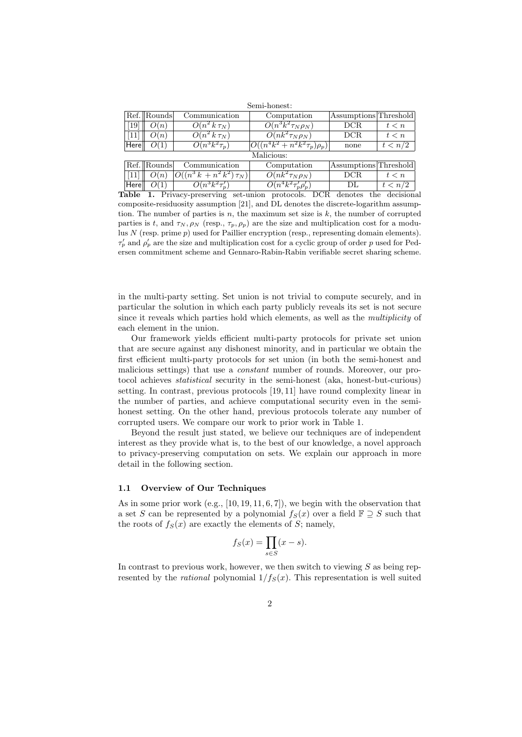| Semi-honest: |             |                               |                                      |                       |         |
|--------------|-------------|-------------------------------|--------------------------------------|-----------------------|---------|
|              | Ref. Rounds | Communication                 | Computation                          | Assumptions Threshold |         |
| [19]         | O(n)        | $O(n^2 k \tau_N)$             | $O(n^3k^2\tau_N\rho_N)$              | DCR                   | t < n   |
| [11]         | O(n)        | $O(n^2 k \tau_N)$             | $O(nk^2 \tau_N \rho_N)$              | DCR                   | t < n   |
| Herell       | O(1)        | $O(n^3k^2\tau_p)$             | $ O((n^4k^2 + n^2k^2\tau_p)\rho_p) $ | none                  | t < n/2 |
| Malicious:   |             |                               |                                      |                       |         |
|              | Ref. Rounds | Communication                 | Computation                          | Assumptions Threshold |         |
| $[11]$       | O(n)        | $O((n^3 k + n^2 k^2) \tau_N)$ | $O(nk^2 \tau_N \rho_N)$              | DCR                   | t < n   |
| Here         | O(1)        | $\overline{O(n^3k^2\tau_n')}$ | $O(n^4k^2\tau_p'\rho_p')$            | DL.                   | t < n/2 |

Table 1. Privacy-preserving set-union protocols. DCR denotes the decisional composite-residuosity assumption [21], and DL denotes the discrete-logarithm assumption. The number of parties is  $n$ , the maximum set size is  $k$ , the number of corrupted parties is t, and  $\tau_N, \rho_N$  (resp.,  $\tau_p, \rho_p$ ) are the size and multiplication cost for a modulus  $N$  (resp. prime  $p$ ) used for Paillier encryption (resp., representing domain elements).  $\tau'_p$  and  $\rho'_p$  are the size and multiplication cost for a cyclic group of order p used for Pedersen commitment scheme and Gennaro-Rabin-Rabin verifiable secret sharing scheme.

in the multi-party setting. Set union is not trivial to compute securely, and in particular the solution in which each party publicly reveals its set is not secure since it reveals which parties hold which elements, as well as the multiplicity of each element in the union.

Our framework yields efficient multi-party protocols for private set union that are secure against any dishonest minority, and in particular we obtain the first efficient multi-party protocols for set union (in both the semi-honest and malicious settings) that use a constant number of rounds. Moreover, our protocol achieves statistical security in the semi-honest (aka, honest-but-curious) setting. In contrast, previous protocols [19, 11] have round complexity linear in the number of parties, and achieve computational security even in the semihonest setting. On the other hand, previous protocols tolerate any number of corrupted users. We compare our work to prior work in Table 1.

Beyond the result just stated, we believe our techniques are of independent interest as they provide what is, to the best of our knowledge, a novel approach to privacy-preserving computation on sets. We explain our approach in more detail in the following section.

### 1.1 Overview of Our Techniques

As in some prior work (e.g., [10, 19, 11, 6, 7]), we begin with the observation that a set S can be represented by a polynomial  $f_S(x)$  over a field  $\mathbb{F} \supseteq S$  such that the roots of  $f_S(x)$  are exactly the elements of S; namely,

$$
f_S(x) = \prod_{s \in S} (x - s).
$$

In contrast to previous work, however, we then switch to viewing  $S$  as being represented by the *rational* polynomial  $1/f_S(x)$ . This representation is well suited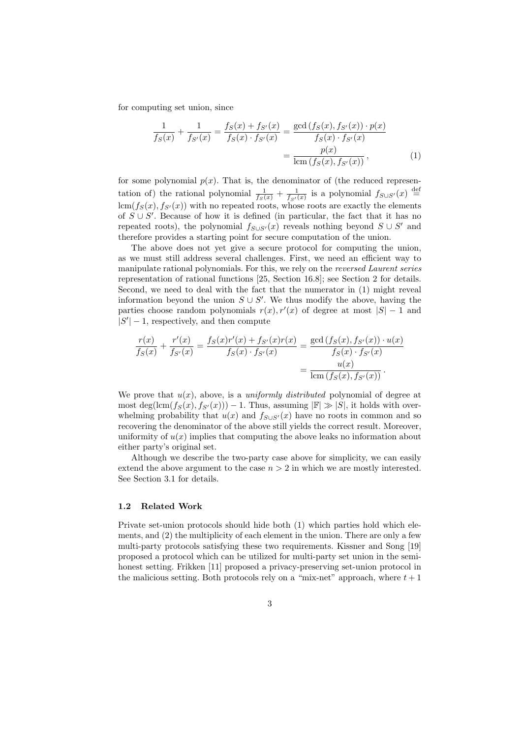for computing set union, since

$$
\frac{1}{f_S(x)} + \frac{1}{f_{S'}(x)} = \frac{f_S(x) + f_{S'}(x)}{f_S(x) \cdot f_{S'}(x)} = \frac{\gcd(f_S(x), f_{S'}(x)) \cdot p(x)}{f_S(x) \cdot f_{S'}(x)} = \frac{p(x)}{\operatorname{lcm}(f_S(x), f_{S'}(x))},
$$
\n(1)

for some polynomial  $p(x)$ . That is, the denominator of (the reduced representation of) the rational polynomial  $\frac{1}{f_S(x)} + \frac{1}{f_{S'}(x)}$  is a polynomial  $f_{S\cup S'}(x) \stackrel{\text{def}}{=}$  $lcm(f_S(x), f_{S'}(x))$  with no repeated roots, whose roots are exactly the elements of  $S \cup S'$ . Because of how it is defined (in particular, the fact that it has no repeated roots), the polynomial  $f_{S\cup S'}(x)$  reveals nothing beyond  $S\cup S'$  and therefore provides a starting point for secure computation of the union.

The above does not yet give a secure protocol for computing the union, as we must still address several challenges. First, we need an efficient way to manipulate rational polynomials. For this, we rely on the reversed Laurent series representation of rational functions [25, Section 16.8]; see Section 2 for details. Second, we need to deal with the fact that the numerator in (1) might reveal information beyond the union  $S \cup S'$ . We thus modify the above, having the parties choose random polynomials  $r(x)$ ,  $r'(x)$  of degree at most  $|S| - 1$  and  $|S'|-1$ , respectively, and then compute

$$
\frac{r(x)}{f_S(x)} + \frac{r'(x)}{f_{S'}(x)} = \frac{f_S(x)r'(x) + f_{S'}(x)r(x)}{f_S(x) \cdot f_{S'}(x)} = \frac{\gcd(f_S(x), f_{S'}(x)) \cdot u(x)}{f_S(x) \cdot f_{S'}(x)} = \frac{u(x)}{\operatorname{lcm}(f_S(x), f_{S'}(x))}.
$$

We prove that  $u(x)$ , above, is a *uniformly distributed* polynomial of degree at most deg(lcm( $f_S(x), f_{S'}(x)$ )) – 1. Thus, assuming  $|\mathbb{F}| \gg |S|$ , it holds with overwhelming probability that  $u(x)$  and  $f_{S\cup S'}(x)$  have no roots in common and so recovering the denominator of the above still yields the correct result. Moreover, uniformity of  $u(x)$  implies that computing the above leaks no information about either party's original set.

Although we describe the two-party case above for simplicity, we can easily extend the above argument to the case  $n > 2$  in which we are mostly interested. See Section 3.1 for details.

### 1.2 Related Work

Private set-union protocols should hide both (1) which parties hold which elements, and (2) the multiplicity of each element in the union. There are only a few multi-party protocols satisfying these two requirements. Kissner and Song [19] proposed a protocol which can be utilized for multi-party set union in the semihonest setting. Frikken [11] proposed a privacy-preserving set-union protocol in the malicious setting. Both protocols rely on a "mix-net" approach, where  $t + 1$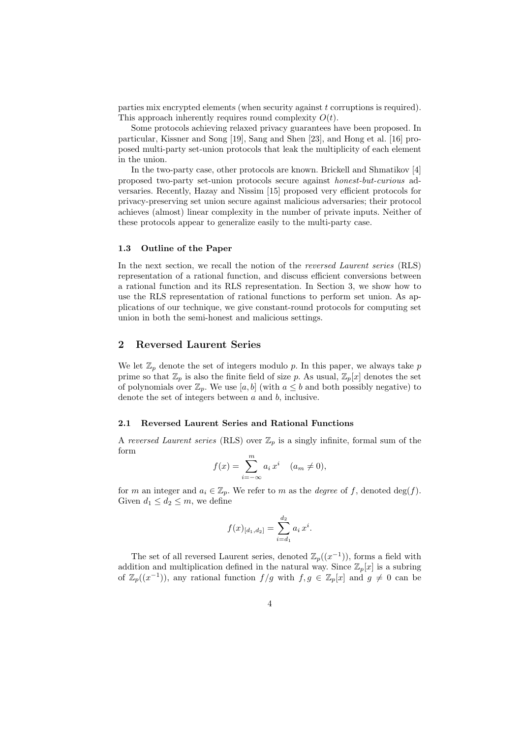parties mix encrypted elements (when security against t corruptions is required). This approach inherently requires round complexity  $O(t)$ .

Some protocols achieving relaxed privacy guarantees have been proposed. In particular, Kissner and Song [19], Sang and Shen [23], and Hong et al. [16] proposed multi-party set-union protocols that leak the multiplicity of each element in the union.

In the two-party case, other protocols are known. Brickell and Shmatikov [4] proposed two-party set-union protocols secure against honest-but-curious adversaries. Recently, Hazay and Nissim [15] proposed very efficient protocols for privacy-preserving set union secure against malicious adversaries; their protocol achieves (almost) linear complexity in the number of private inputs. Neither of these protocols appear to generalize easily to the multi-party case.

### 1.3 Outline of the Paper

In the next section, we recall the notion of the reversed Laurent series (RLS) representation of a rational function, and discuss efficient conversions between a rational function and its RLS representation. In Section 3, we show how to use the RLS representation of rational functions to perform set union. As applications of our technique, we give constant-round protocols for computing set union in both the semi-honest and malicious settings.

### 2 Reversed Laurent Series

We let  $\mathbb{Z}_p$  denote the set of integers modulo p. In this paper, we always take p prime so that  $\mathbb{Z}_p$  is also the finite field of size p. As usual,  $\mathbb{Z}_p[x]$  denotes the set of polynomials over  $\mathbb{Z}_p$ . We use  $[a, b]$  (with  $a \leq b$  and both possibly negative) to denote the set of integers between a and b, inclusive.

### 2.1 Reversed Laurent Series and Rational Functions

A reversed Laurent series (RLS) over  $\mathbb{Z}_p$  is a singly infinite, formal sum of the form

$$
f(x) = \sum_{i=-\infty}^{m} a_i x^i \quad (a_m \neq 0),
$$

for m an integer and  $a_i \in \mathbb{Z}_p$ . We refer to m as the *degree* of f, denoted deg(f). Given  $d_1 \leq d_2 \leq m$ , we define

$$
f(x)_{[d_1,d_2]} = \sum_{i=d_1}^{d_2} a_i x^i.
$$

The set of all reversed Laurent series, denoted  $\mathbb{Z}_p((x^{-1}))$ , forms a field with addition and multiplication defined in the natural way. Since  $\mathbb{Z}_p[x]$  is a subring of  $\mathbb{Z}_p((x^{-1}))$ , any rational function  $f/g$  with  $f, g \in \mathbb{Z}_p[x]$  and  $g \neq 0$  can be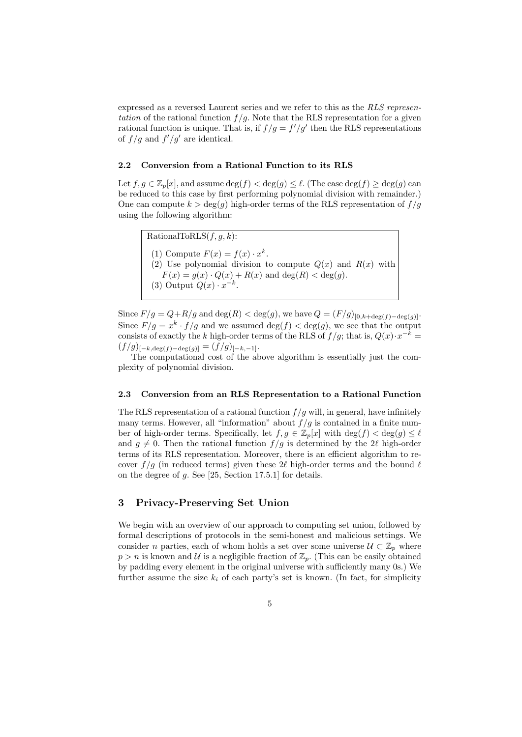expressed as a reversed Laurent series and we refer to this as the RLS representation of the rational function  $f/g$ . Note that the RLS representation for a given rational function is unique. That is, if  $f/g = f'/g'$  then the RLS representations of  $f/g$  and  $f'/g'$  are identical.

### 2.2 Conversion from a Rational Function to its RLS

Let  $f, g \in \mathbb{Z}_p[x]$ , and assume  $\deg(f) < \deg(g) \leq \ell$ . (The case  $\deg(f) \geq \deg(g)$  can be reduced to this case by first performing polynomial division with remainder.) One can compute  $k > \deg(g)$  high-order terms of the RLS representation of  $f/g$ using the following algorithm:

RationalToRLS $(f, q, k)$ : (1) Compute  $F(x) = f(x) \cdot x^k$ . (2) Use polynomial division to compute  $Q(x)$  and  $R(x)$  with  $F(x) = g(x) \cdot Q(x) + R(x)$  and  $deg(R) < deg(g)$ . (3) Output  $Q(x) \cdot x^{-k}$ .

Since  $F/g = Q + R/g$  and deg(R) < deg(g), we have  $Q = (F/g)_{[0,k+\deg(f)-\deg(g)]}$ . Since  $F/g = x^k \cdot f/g$  and we assumed  $deg(f) < deg(g)$ , we see that the output consists of exactly the k high-order terms of the RLS of  $f/g$ ; that is,  $Q(x) \cdot x^{-k} =$  $(f/g)_{[-k,\deg(f)-\deg(g)]} = (f/g)_{[-k,-1]}.$ 

The computational cost of the above algorithm is essentially just the complexity of polynomial division.

### 2.3 Conversion from an RLS Representation to a Rational Function

The RLS representation of a rational function  $f/q$  will, in general, have infinitely many terms. However, all "information" about  $f/g$  is contained in a finite number of high-order terms. Specifically, let  $f, g \in \mathbb{Z}_p[x]$  with  $\deg(f) < \deg(g) \leq \ell$ and  $g \neq 0$ . Then the rational function  $f / g$  is determined by the 2 $\ell$  high-order terms of its RLS representation. Moreover, there is an efficient algorithm to recover  $f/g$  (in reduced terms) given these  $2\ell$  high-order terms and the bound  $\ell$ on the degree of g. See [25, Section 17.5.1] for details.

### 3 Privacy-Preserving Set Union

We begin with an overview of our approach to computing set union, followed by formal descriptions of protocols in the semi-honest and malicious settings. We consider n parties, each of whom holds a set over some universe  $\mathcal{U} \subset \mathbb{Z}_p$  where  $p > n$  is known and U is a negligible fraction of  $\mathbb{Z}_p$ . (This can be easily obtained by padding every element in the original universe with sufficiently many 0s.) We further assume the size  $k_i$  of each party's set is known. (In fact, for simplicity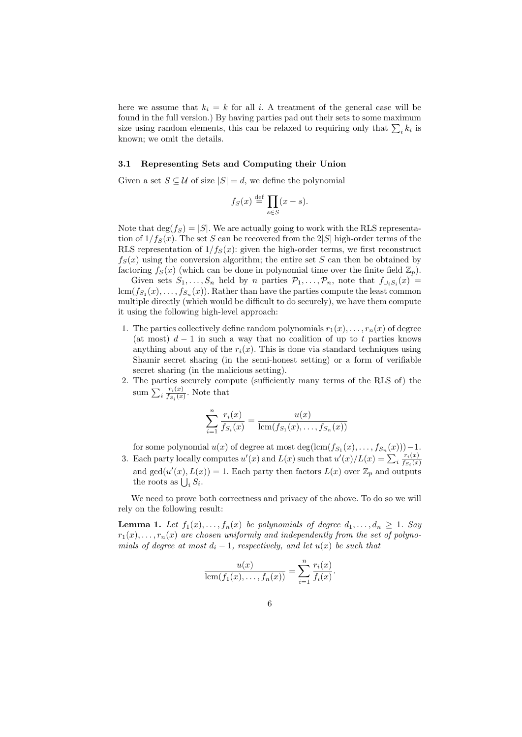here we assume that  $k_i = k$  for all i. A treatment of the general case will be found in the full version.) By having parties pad out their sets to some maximum size using random elements, this can be relaxed to requiring only that  $\sum_i k_i$  is known; we omit the details.

#### 3.1 Representing Sets and Computing their Union

Given a set  $S \subseteq \mathcal{U}$  of size  $|S| = d$ , we define the polynomial

$$
f_S(x) \stackrel{\text{def}}{=} \prod_{s \in S} (x - s).
$$

Note that  $\deg(f_S) = |S|$ . We are actually going to work with the RLS representation of  $1/f_S(x)$ . The set S can be recovered from the 2|S| high-order terms of the RLS representation of  $1/f_S(x)$ : given the high-order terms, we first reconstruct  $f_S(x)$  using the conversion algorithm; the entire set S can then be obtained by factoring  $f_S(x)$  (which can be done in polynomial time over the finite field  $\mathbb{Z}_p$ ).

Given sets  $S_1, \ldots, S_n$  held by n parties  $\mathcal{P}_1, \ldots, \mathcal{P}_n$ , note that  $f_{\cup_i S_i}(x) =$  $\text{lcm}(f_{S_1}(x), \ldots, f_{S_n}(x)).$  Rather than have the parties compute the least common multiple directly (which would be difficult to do securely), we have them compute it using the following high-level approach:

- 1. The parties collectively define random polynomials  $r_1(x), \ldots, r_n(x)$  of degree (at most)  $d-1$  in such a way that no coalition of up to t parties knows anything about any of the  $r_i(x)$ . This is done via standard techniques using Shamir secret sharing (in the semi-honest setting) or a form of verifiable secret sharing (in the malicious setting).
- 2. The parties securely compute (sufficiently many terms of the RLS of) the sum  $\sum_i \frac{r_i(x)}{f_{S_i}(x)}$  $\frac{r_i(x)}{f_{S_i}(x)}$ . Note that

$$
\sum_{i=1}^{n} \frac{r_i(x)}{f_{S_i}(x)} = \frac{u(x)}{\text{lcm}(f_{S_1}(x), \dots, f_{S_n}(x))}
$$

for some polynomial  $u(x)$  of degree at most  $\deg(\text{lcm}(f_{S_1}(x),...,f_{S_n}(x))) - 1$ . 3. Each party locally computes  $u'(x)$  and  $L(x)$  such that  $u'(x)/L(x) = \sum_i \frac{r_i(x)}{f_{S_i}(x)}$ 

 $f_{S_i}(x)$ and  $gcd(u'(x), L(x)) = 1$ . Each party then factors  $L(x)$  over  $\mathbb{Z}_p$  and outputs the roots as  $\bigcup_i S_i$ .

We need to prove both correctness and privacy of the above. To do so we will rely on the following result:

**Lemma 1.** Let  $f_1(x),..., f_n(x)$  be polynomials of degree  $d_1,..., d_n \geq 1$ . Say  $r_1(x), \ldots, r_n(x)$  are chosen uniformly and independently from the set of polynomials of degree at most  $d_i - 1$ , respectively, and let  $u(x)$  be such that

$$
\frac{u(x)}{\operatorname{lcm}(f_1(x),\ldots,f_n(x))}=\sum_{i=1}^n\frac{r_i(x)}{f_i(x)}.
$$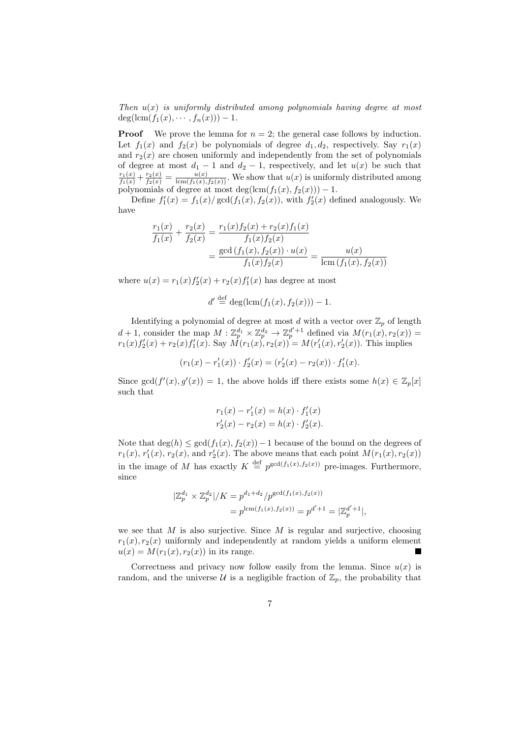Then  $u(x)$  is uniformly distributed among polynomials having degree at most  $deg(lcm(f_1(x), \dots, f_n(x))) - 1.$ 

**Proof** We prove the lemma for  $n = 2$ ; the general case follows by induction. Let  $f_1(x)$  and  $f_2(x)$  be polynomials of degree  $d_1, d_2$ , respectively. Say  $r_1(x)$ and  $r_2(x)$  are chosen uniformly and independently from the set of polynomials of degree at most  $d_1 - 1$  and  $d_2 - 1$ , respectively, and let  $u(x)$  be such that  $\frac{r_1(x)}{f_1(x)} + \frac{r_2(x)}{f_2(x)} = \frac{u(x)}{\text{lcm}(f_1(x), f_2(x))}$ . We show that  $u(x)$  is uniformly distributed among polynomials of degree at most deg(lcm( $f_1(x), f_2(x)$ )) – 1.

Define  $f'_1(x) = f_1(x)/\gcd(f_1(x), f_2(x))$ , with  $f'_2(x)$  defined analogously. We have

$$
\frac{r_1(x)}{f_1(x)} + \frac{r_2(x)}{f_2(x)} = \frac{r_1(x)f_2(x) + r_2(x)f_1(x)}{f_1(x)f_2(x)}
$$
  
= 
$$
\frac{\gcd(f_1(x), f_2(x)) \cdot u(x)}{f_1(x)f_2(x)} = \frac{u(x)}{\operatorname{lcm}(f_1(x), f_2(x))}
$$

where  $u(x) = r_1(x) f_2'(x) + r_2(x) f_1'(x)$  has degree at most

$$
d' \stackrel{\text{def}}{=} \deg(\text{lcm}(f_1(x), f_2(x))) - 1.
$$

Identifying a polynomial of degree at most d with a vector over  $\mathbb{Z}_p$  of length  $d+1$ , consider the map  $M: \mathbb{Z}_p^{d_1} \times \mathbb{Z}_p^{d_2} \to \mathbb{Z}_p^{d'+1}$  defined via  $M(r_1(x), r_2(x)) =$  $r_1(x)f'_2(x) + r_2(x)f'_1(x)$ . Say  $\hat{M}(r_1(x), r_2(x)) = M(r'_1(x), r'_2(x))$ . This implies

$$
(r_1(x) - r'_1(x)) \cdot f'_2(x) = (r'_2(x) - r_2(x)) \cdot f'_1(x).
$$

Since  $gcd(f'(x), g'(x)) = 1$ , the above holds iff there exists some  $h(x) \in \mathbb{Z}_p[x]$ such that

$$
r_1(x) - r'_1(x) = h(x) \cdot f'_1(x)
$$
  

$$
r'_2(x) - r_2(x) = h(x) \cdot f'_2(x).
$$

Note that  $\deg(h) \leq \gcd(f_1(x), f_2(x)) - 1$  because of the bound on the degrees of  $r_1(x)$ ,  $r'_1(x)$ ,  $r_2(x)$ , and  $r'_2(x)$ . The above means that each point  $M(r_1(x), r_2(x))$ in the image of M has exactly  $K \stackrel{\text{def}}{=} p^{\gcd(f_1(x), f_2(x))}$  pre-images. Furthermore, since

$$
\begin{aligned} |\mathbb{Z}_p^{d_1} \times \mathbb{Z}_p^{d_2}| / K &= p^{d_1 + d_2} / p^{\gcd(f_1(x), f_2(x))} \\ &= p^{\operatorname{lcm}(f_1(x), f_2(x))} = p^{d' + 1} = |\mathbb{Z}_p^{d' + 1}|, \end{aligned}
$$

we see that  $M$  is also surjective. Since  $M$  is regular and surjective, choosing  $r_1(x), r_2(x)$  uniformly and independently at random yields a uniform element  $u(x) = M(r_1(x), r_2(x))$  in its range. **The State** 

Correctness and privacy now follow easily from the lemma. Since  $u(x)$  is random, and the universe  $\mathcal U$  is a negligible fraction of  $\mathbb Z_p$ , the probability that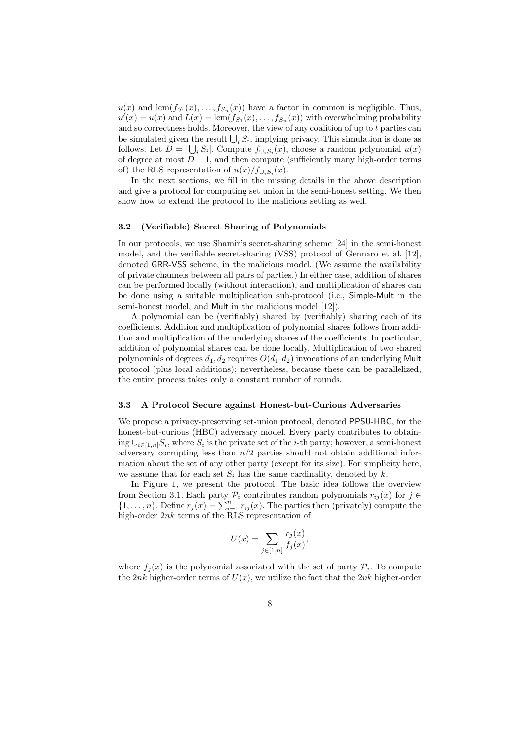$u(x)$  and  $\text{lcm}(f_{S_1}(x),...,f_{S_n}(x))$  have a factor in common is negligible. Thus,  $u'(x) = u(x)$  and  $L(x) = \text{lcm}(f_{S_1}(x), \ldots, f_{S_n}(x))$  with overwhelming probability and so correctness holds. Moreover, the view of any coalition of up to  $t$  parties can be simulated given the result  $\bigcup_i S_i$ , implying privacy. This simulation is done as follows. Let  $D = |\bigcup_i S_i|$ . Compute  $f_{\cup_i S_i}(x)$ , choose a random polynomial  $u(x)$ of degree at most  $D-1$ , and then compute (sufficiently many high-order terms of) the RLS representation of  $u(x)/f_{\cup_i S_i}(x)$ .

In the next sections, we fill in the missing details in the above description and give a protocol for computing set union in the semi-honest setting. We then show how to extend the protocol to the malicious setting as well.

### 3.2 (Verifiable) Secret Sharing of Polynomials

In our protocols, we use Shamir's secret-sharing scheme [24] in the semi-honest model, and the verifiable secret-sharing (VSS) protocol of Gennaro et al. [12], denoted GRR-VSS scheme, in the malicious model. (We assume the availability of private channels between all pairs of parties.) In either case, addition of shares can be performed locally (without interaction), and multiplication of shares can be done using a suitable multiplication sub-protocol (i.e., Simple-Mult in the semi-honest model, and Mult in the malicious model [12]).

A polynomial can be (verifiably) shared by (verifiably) sharing each of its coefficients. Addition and multiplication of polynomial shares follows from addition and multiplication of the underlying shares of the coefficients. In particular, addition of polynomial shares can be done locally. Multiplication of two shared polynomials of degrees  $d_1, d_2$  requires  $O(d_1 \cdot d_2)$  invocations of an underlying Mult protocol (plus local additions); nevertheless, because these can be parallelized, the entire process takes only a constant number of rounds.

#### 3.3 A Protocol Secure against Honest-but-Curious Adversaries

We propose a privacy-preserving set-union protocol, denoted PPSU-HBC, for the honest-but-curious (HBC) adversary model. Every party contributes to obtain- $\text{ing } \cup_{i \in [1,n]} S_i$ , where  $S_i$  is the private set of the *i*-th party; however, a semi-honest adversary corrupting less than  $n/2$  parties should not obtain additional information about the set of any other party (except for its size). For simplicity here, we assume that for each set  $S_i$  has the same cardinality, denoted by k.

In Figure 1, we present the protocol. The basic idea follows the overview from Section 3.1. Each party  $\mathcal{P}_i$  contributes random polynomials  $r_{ij}(x)$  for  $j \in$  $\{1,\ldots,n\}$ . Define  $r_j(x) = \sum_{i=1}^n r_{ij}(x)$ . The parties then (privately) compute the high-order 2nk terms of the RLS representation of

$$
U(x) = \sum_{j \in [1,n]} \frac{r_j(x)}{f_j(x)},
$$

where  $f_i(x)$  is the polynomial associated with the set of party  $P_i$ . To compute the 2nk higher-order terms of  $U(x)$ , we utilize the fact that the 2nk higher-order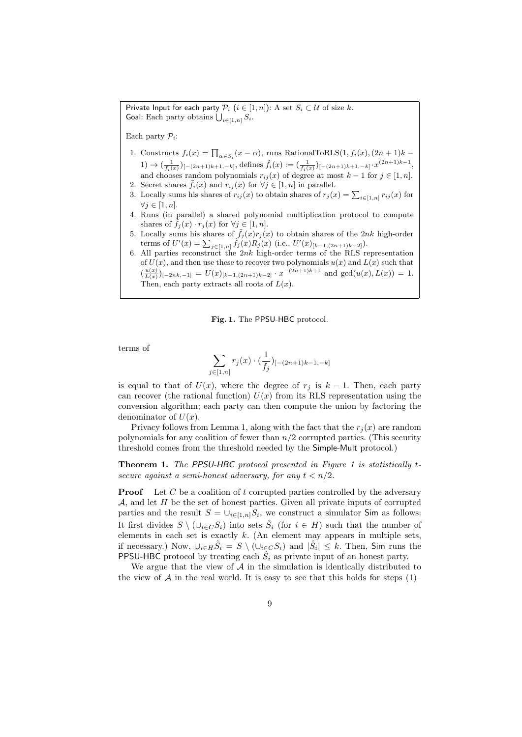Private Input for each party  $P_i$   $(i \in [1, n])$ : A set  $S_i \subset \mathcal{U}$  of size k. Goal: Each party obtains  $\bigcup_{i\in[1,n]}S_i$ .

Each party  $P_i$ :

- 1. Constructs  $f_i(x) = \prod_{\alpha \in S_i} (x \alpha)$ , runs RationalToRLS $(1, f_i(x), (2n + 1)k -$ 1) →  $\left(\frac{1}{f_i(x)}\right)_{[-(2n+1)k+1,-k]}$ , defines  $\tilde{f}_i(x) := \left(\frac{1}{f_i(x)}\right)_{[-(2n+1)k+1,-k]} \cdot x^{(2n+1)k-1}$ , and chooses random polynomials  $r_{ij}(x)$  of degree at most  $k-1$  for  $j \in [1, n]$ .
- 2. Secret shares  $f_i(x)$  and  $r_{ij}(x)$  for  $\forall j \in [1, n]$  in parallel.
- 3. Locally sums his shares of  $r_{ij}(x)$  to obtain shares of  $r_j(x) = \sum_{i \in [1,n]} r_{ij}(x)$  for  $\forall j \in [1, n].$
- 4. Runs (in parallel) a shared polynomial multiplication protocol to compute shares of  $\tilde{f}_j(x) \cdot r_j(x)$  for  $\forall j \in [1, n]$ .
- 5. Locally sums his shares of  $\tilde{f}_j(x)r_j(x)$  to obtain shares of the 2nk high-order terms of  $U'(x) = \sum_{j \in [1,n]} \tilde{f}_j(x) R_j(x)$  (i.e.,  $U'(x)_{[k-1,(2n+1)k-2]}$ ).
- 6. All parties reconstruct the  $2nk$  high-order terms of the RLS representation of  $U(x)$ , and then use these to recover two polynomials  $u(x)$  and  $L(x)$  such that  $(\frac{u(x)}{L(x)})_{[-2nk,-1]} = U(x)_{[k-1,(2n+1)k-2]} \cdot x^{-(2n+1)k+1}$  and  $gcd(u(x),L(x)) = 1$ . Then, each party extracts all roots of  $L(x)$ .

### Fig. 1. The PPSU-HBC protocol.

terms of

$$
\sum_{j \in [1,n]} r_j(x) \cdot (\frac{1}{f_j})_{[-(2n+1)k-1,-k]}
$$

is equal to that of  $U(x)$ , where the degree of  $r_j$  is  $k-1$ . Then, each party can recover (the rational function)  $U(x)$  from its RLS representation using the conversion algorithm; each party can then compute the union by factoring the denominator of  $U(x)$ .

Privacy follows from Lemma 1, along with the fact that the  $r_i(x)$  are random polynomials for any coalition of fewer than  $n/2$  corrupted parties. (This security threshold comes from the threshold needed by the Simple-Mult protocol.)

Theorem 1. The PPSU-HBC protocol presented in Figure 1 is statistically tsecure against a semi-honest adversary, for any  $t < n/2$ .

**Proof** Let C be a coalition of t corrupted parties controlled by the adversary  $A$ , and let  $H$  be the set of honest parties. Given all private inputs of corrupted parties and the result  $S = \bigcup_{i \in [1,n]} S_i$ , we construct a simulator Sim as follows: It first divides  $S \setminus (\cup_{i \in C} S_i)$  into sets  $\hat{S}_i$  (for  $i \in H$ ) such that the number of elements in each set is exactly  $k$ . (An element may appears in multiple sets, if necessary.) Now,  $\bigcup_{i\in H}\hat{S}_i = S \setminus (\bigcup_{i\in C}S_i)$  and  $|\hat{S}_i| \leq k$ . Then, Sim runs the **PPSU-HBC** protocol by treating each  $\tilde{S}_i$  as private input of an honest party.

We argue that the view of  $A$  in the simulation is identically distributed to the view of A in the real world. It is easy to see that this holds for steps  $(1)$ –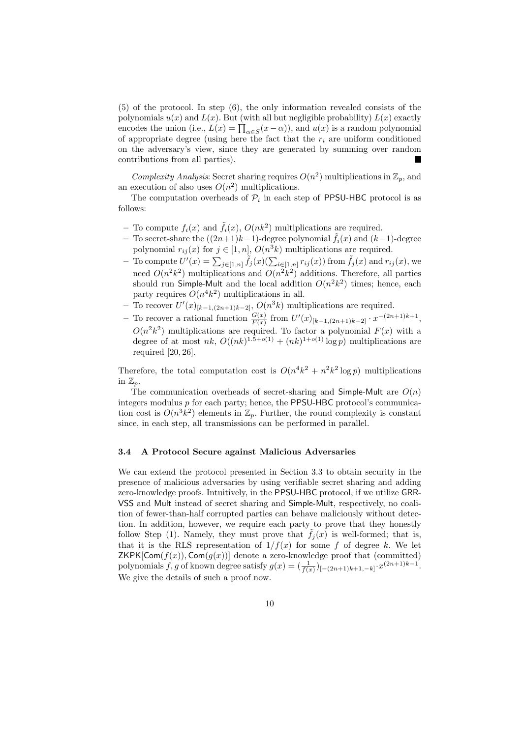(5) of the protocol. In step (6), the only information revealed consists of the polynomials  $u(x)$  and  $L(x)$ . But (with all but negligible probability)  $L(x)$  exactly encodes the union (i.e.,  $L(x) = \prod_{\alpha \in S} (x - \alpha)$ ), and  $u(x)$  is a random polynomial of appropriate degree (using here the fact that the  $r_i$  are uniform conditioned on the adversary's view, since they are generated by summing over random contributions from all parties).  $\blacksquare$ 

Complexity Analysis: Secret sharing requires  $O(n^2)$  multiplications in  $\mathbb{Z}_p$ , and an execution of also uses  $O(n^2)$  multiplications.

The computation overheads of  $P_i$  in each step of PPSU-HBC protocol is as follows:

- To compute  $f_i(x)$  and  $\tilde{f}_i(x)$ ,  $O(nk^2)$  multiplications are required.
- To secret-share the  $((2n+1)k-1)$ -degree polynomial  $\tilde{f}_i(x)$  and  $(k-1)$ -degree polynomial  $r_{ij}(x)$  for  $j \in [1, n]$ ,  $O(n^3k)$  multiplications are required.
- To compute  $U'(x) = \sum_{j\in[1,n]} \tilde{f}_j(x) (\sum_{i\in[1,n]} r_{ij}(x))$  from  $\tilde{f}_j(x)$  and  $r_{ij}(x)$ , we need  $O(n^2k^2)$  multiplications and  $O(n^2k^2)$  additions. Therefore, all parties should run Simple-Mult and the local addition  $O(n^2k^2)$  times; hence, each party requires  $O(n^4k^2)$  multiplications in all.
- − To recover  $U'(x)_{[k-1,(2n+1)k-2]}$ ,  $O(n^3k)$  multiplications are required.
- − To recover a rational function  $\frac{G(x)}{F(x)}$  from  $U'(x)_{[k-1,(2n+1)k-2]} \cdot x^{-(2n+1)k+1}$ ,  $O(n^2k^2)$  multiplications are required. To factor a polynomial  $F(x)$  with a degree of at most  $nk$ ,  $O((nk)^{1.5+o(1)} + (nk)^{1+o(1)} \log p)$  multiplications are required [20, 26].

Therefore, the total computation cost is  $O(n^4k^2 + n^2k^2 \log p)$  multiplications in  $\mathbb{Z}_n$ .

The communication overheads of secret-sharing and Simple-Mult are  $O(n)$ integers modulus  $p$  for each party; hence, the PPSU-HBC protocol's communication cost is  $O(n^3k^2)$  elements in  $\mathbb{Z}_p$ . Further, the round complexity is constant since, in each step, all transmissions can be performed in parallel.

### 3.4 A Protocol Secure against Malicious Adversaries

We can extend the protocol presented in Section 3.3 to obtain security in the presence of malicious adversaries by using verifiable secret sharing and adding zero-knowledge proofs. Intuitively, in the PPSU-HBC protocol, if we utilize GRR-VSS and Mult instead of secret sharing and Simple-Mult, respectively, no coalition of fewer-than-half corrupted parties can behave maliciously without detection. In addition, however, we require each party to prove that they honestly follow Step (1). Namely, they must prove that  $\tilde{f}_i(x)$  is well-formed; that is, that it is the RLS representation of  $1/f(x)$  for some f of degree k. We let ZKPK[Com( $f(x)$ ), Com( $g(x)$ )] denote a zero-knowledge proof that (committed) polynomials f, g of known degree satisfy  $g(x) = \left(\frac{1}{f(x)}\right)_{[-(2n+1)k+1,-k]} x^{(2n+1)k-1}$ . We give the details of such a proof now.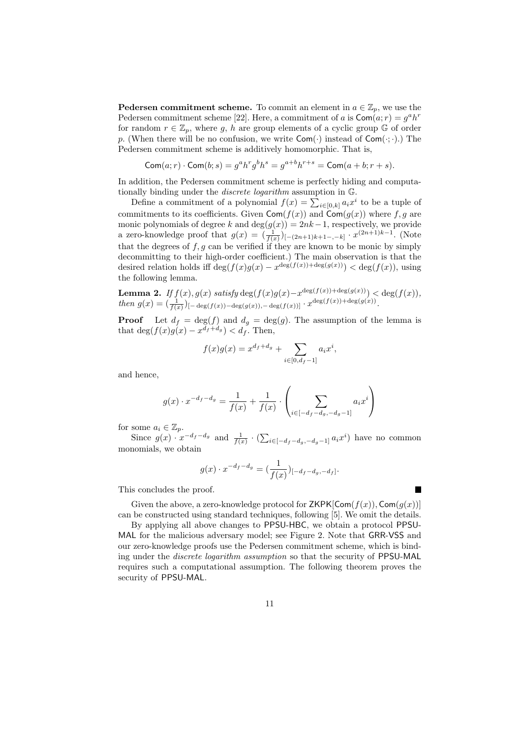**Pedersen commitment scheme.** To commit an element in  $a \in \mathbb{Z}_p$ , we use the Pedersen commitment scheme [22]. Here, a commitment of a is  $\textsf{Com}(a; r) = g^a h^r$ for random  $r \in \mathbb{Z}_p$ , where g, h are group elements of a cyclic group  $\mathbb{G}$  of order p. (When there will be no confusion, we write  $Com(\cdot)$  instead of  $Com(\cdot;\cdot)$ .) The Pedersen commitment scheme is additively homomorphic. That is,

$$
\mathsf{Com}(a;r)\cdot\mathsf{Com}(b;s)=g^ah^rg^bh^s=g^{a+b}h^{r+s}=\mathsf{Com}(a+b;r+s).
$$

In addition, the Pedersen commitment scheme is perfectly hiding and computationally binding under the discrete logarithm assumption in G.

Define a commitment of a polynomial  $f(x) = \sum_{i \in [0,k]} a_i x^i$  to be a tuple of commitments to its coefficients. Given  $\mathsf{Com}(f(x))$  and  $\mathsf{Com}(g(x))$  where f, g are monic polynomials of degree k and  $deg(g(x)) = 2nk-1$ , respectively, we provide a zero-knowledge proof that  $g(x) = (\frac{1}{f(x)})_{[-(2n+1)k+1-,-k]} \cdot x^{(2n+1)k-1}$ . (Note that the degrees of  $f, g$  can be verified if they are known to be monic by simply decommitting to their high-order coefficient.) The main observation is that the desired relation holds iff  $\deg(f(x)g(x) - x^{\deg(f(x))+\deg(g(x))}) < \deg(f(x))$ , using the following lemma.

**Lemma 2.** If  $f(x)$ ,  $g(x)$  satisfy  $\deg(f(x)g(x)-x^{\deg(f(x))+\deg(g(x))}) < \deg(f(x))$ , then  $g(x) = \left(\frac{1}{f(x)}\right)_{x-\deg(f(x))-\deg(g(x)),-\deg(f(x))} \cdot x^{\deg(f(x))+\deg(g(x))}.$ 

**Proof** Let  $d_f = \deg(f)$  and  $d_g = \deg(g)$ . The assumption of the lemma is that  $\deg(f(x)g(x) - x^{d_f + d_g}) < d_f$ . Then,

$$
f(x)g(x) = x^{d_f + d_g} + \sum_{i \in [0, d_f - 1]} a_i x^i,
$$

and hence,

$$
g(x) \cdot x^{-d_f - d_g} = \frac{1}{f(x)} + \frac{1}{f(x)} \cdot \left( \sum_{i \in [-d_f - d_g, -d_g - 1]} a_i x^i \right)
$$

for some  $a_i \in \mathbb{Z}_p$ .

Since  $g(x) \cdot x^{-d_f-d_g}$  and  $\frac{1}{f(x)} \cdot (\sum_{i \in [-d_f-d_g,-d_g-1]} a_i x^i)$  have no common monomials, we obtain

$$
g(x) \cdot x^{-d_f - d_g} = \left(\frac{1}{f(x)}\right)_{[-d_f - d_g, -d_f]}.
$$

This concludes the proof.

Given the above, a zero-knowledge protocol for  $ZKPK[Com(f(x)), Com(g(x))]$ can be constructed using standard techniques, following [5]. We omit the details.

Г

By applying all above changes to PPSU-HBC, we obtain a protocol PPSU-MAL for the malicious adversary model; see Figure 2. Note that GRR-VSS and our zero-knowledge proofs use the Pedersen commitment scheme, which is binding under the discrete logarithm assumption so that the security of PPSU-MAL requires such a computational assumption. The following theorem proves the security of PPSU-MAL.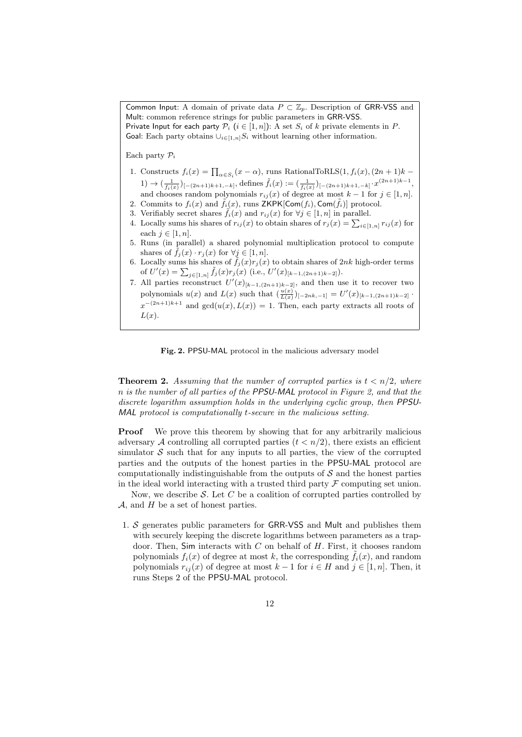Common Input: A domain of private data  $P \subset \mathbb{Z}_p$ . Description of GRR-VSS and Mult: common reference strings for public parameters in GRR-VSS. Private Input for each party  $P_i$   $(i \in [1, n])$ : A set  $S_i$  of k private elements in P. Goal: Each party obtains  $\bigcup_{i\in[1,n]}S_i$  without learning other information.

Each party  $P_i$ 

- 1. Constructs  $f_i(x) = \prod_{\alpha \in S_i} (x \alpha)$ , runs RationalToRLS $(1, f_i(x), (2n + 1)k -$ 1) →  $\left(\frac{1}{f_i(x)}\right)_{[-(2n+1)k+1,-k]}$ , defines  $\tilde{f}_i(x) := \left(\frac{1}{f_i(x)}\right)_{[-(2n+1)k+1,-k]} \cdot x^{(2n+1)k-1}$ , and chooses random polynomials  $r_{ij}(x)$  of degree at most  $k-1$  for  $j \in [1, n]$ .
- 2. Commits to  $f_i(x)$  and  $\tilde{f}_i(x)$ , runs ZKPK[Com $(f_i)$ , Com $(\tilde{f}_i)$ ] protocol.
- 3. Verifiably secret shares  $\tilde{f}_i(x)$  and  $r_{ij}(x)$  for  $\forall j \in [1, n]$  in parallel.
- 4. Locally sums his shares of  $r_{ij}(x)$  to obtain shares of  $r_j(x) = \sum_{i \in [1,n]} r_{ij}(x)$  for each  $j \in [1, n]$ .
- 5. Runs (in parallel) a shared polynomial multiplication protocol to compute shares of  $\tilde{f}_j(x) \cdot r_j(x)$  for  $\forall j \in [1, n]$ .
- 6. Locally sums his shares of  $\tilde{f}_j(x)r_j(x)$  to obtain shares of 2nk high-order terms of  $U'(x) = \sum_{j \in [1,n]} \tilde{f}_j(x) r_j(x)$  (i.e.,  $U'(x)_{[k-1,(2n+1)k-2]}$ ).
- 7. All parties reconstruct  $U'(x)_{[k-1,(2n+1)k-2]}$ , and then use it to recover two polynomials  $u(x)$  and  $L(x)$  such that  $(\frac{u(x)}{L(x)})_{[-2nk,-1]} = U'(x)_{[k-1,(2n+1)k-2]}$ .  $x^{-(2n+1)k+1}$  and  $gcd(u(x), L(x)) = 1$ . Then, each party extracts all roots of  $L(x)$ .

Fig. 2. PPSU-MAL protocol in the malicious adversary model

**Theorem 2.** Assuming that the number of corrupted parties is  $t < n/2$ , where n is the number of all parties of the PPSU-MAL protocol in Figure 2, and that the discrete logarithm assumption holds in the underlying cyclic group, then PPSU-MAL protocol is computationally t-secure in the malicious setting.

**Proof** We prove this theorem by showing that for any arbitrarily malicious adversary A controlling all corrupted parties  $(t < n/2)$ , there exists an efficient simulator  $S$  such that for any inputs to all parties, the view of the corrupted parties and the outputs of the honest parties in the PPSU-MAL protocol are computationally indistinguishable from the outputs of  $S$  and the honest parties in the ideal world interacting with a trusted third party  $\mathcal F$  computing set union.

Now, we describe  $S$ . Let C be a coalition of corrupted parties controlled by  $A$ , and  $H$  be a set of honest parties.

1. S generates public parameters for GRR-VSS and Mult and publishes them with securely keeping the discrete logarithms between parameters as a trapdoor. Then, Sim interacts with  $C$  on behalf of  $H$ . First, it chooses random polynomials  $f_i(x)$  of degree at most k, the corresponding  $\tilde{f}_i(x)$ , and random polynomials  $r_{ii}(x)$  of degree at most  $k-1$  for  $i \in H$  and  $j \in [1, n]$ . Then, it runs Steps 2 of the PPSU-MAL protocol.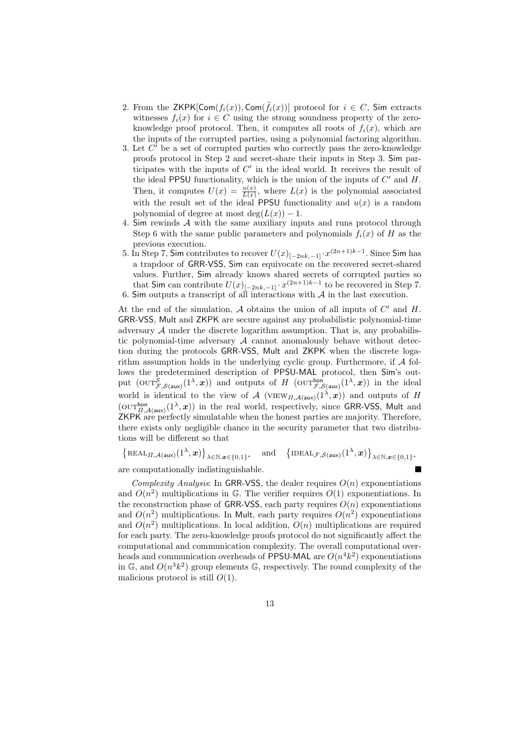- 2. From the  $\mathsf{ZKPK}[\mathsf{Com}(f_i(x)),\mathsf{Com}(\tilde{f}_i(x))]$  protocol for  $i \in C$ , Sim extracts witnesses  $f_i(x)$  for  $i \in C$  using the strong soundness property of the zeroknowledge proof protocol. Then, it computes all roots of  $f_i(x)$ , which are the inputs of the corrupted parties, using a polynomial factoring algorithm.
- 3. Let  $C'$  be a set of corrupted parties who correctly pass the zero-knowledge proofs protocol in Step 2 and secret-share their inputs in Step 3. Sim participates with the inputs of  $C'$  in the ideal world. It receives the result of the ideal PPSU functionality, which is the union of the inputs of  $C'$  and  $H$ . Then, it computes  $U(x) = \frac{u(x)}{L(x)}$ , where  $L(x)$  is the polynomial associated with the result set of the ideal PPSU functionality and  $u(x)$  is a random polynomial of degree at most  $deg(L(x)) - 1$ .
- 4. Sim rewinds A with the same auxiliary inputs and runs protocol through Step 6 with the same public parameters and polynomials  $f_i(x)$  of H as the previous execution.
- 5. In Step 7, Sim contributes to recover  $U(x)_{[-2nk,-1]} \cdot x^{(2n+1)k-1}$ . Since Sim has a trapdoor of GRR-VSS, Sim can equivocate on the recovered secret-shared values. Further, Sim already knows shared secrets of corrupted parties so that Sim can contribute  $U(x)_{[-2nk,-1]} \cdot x^{(2n+1)k-1}$  to be recovered in Step 7. 6. Sim outputs a transcript of all interactions with  $A$  in the last execution.

At the end of the simulation,  $A$  obtains the union of all inputs of  $C'$  and  $H$ . GRR-VSS, Mult and ZKPK are secure against any probabilistic polynomial-time adversary  $A$  under the discrete logarithm assumption. That is, any probabilistic polynomial-time adversary  $A$  cannot anomalously behave without detection during the protocols GRR-VSS, Mult and ZKPK when the discrete logarithm assumption holds in the underlying cyclic group. Furthermore, if  $A$  follows the predetermined description of PPSU-MAL protocol, then Sim's output  $(\text{OUT}_{\mathcal{F},\mathcal{S}(\text{aux})}^{\mathcal{S}}(1^{\lambda},x))$  and outputs of H  $(\text{OUT}_{\mathcal{F},\mathcal{S}(\text{aux})}^{\text{hon}}(1^{\lambda},x))$  in the ideal world is identical to the view of A (VIEW<sub>II,A(aux)</sub>( $1^{\lambda}, x$ )) and outputs of H  $(\text{OUT}_{\Pi,\mathcal{A}(\text{aux})}^{\text{hon}}(1^{\lambda},x))$  in the real world, respectively, since GRR-VSS, Mult and ZKPK are perfectly simulatable when the honest parties are majority. Therefore, there exists only negligible chance in the security parameter that two distributions will be different so that

 $\{\text{REAL}_{\Pi,\mathcal{A}(\text{aux})}(1^{\lambda},x)\}_{\lambda \in \mathbb{N},x \in \{0,1\}^*}$  and  $\{\text{IDEAL}_{\mathcal{F},\mathcal{S}(\text{aux})}(1^{\lambda},x)\}_{\lambda \in \mathbb{N},x \in \{0,1\}^*}$ are computationally indistinguishable.

Complexity Analysis: In GRR-VSS, the dealer requires  $O(n)$  exponentiations and  $O(n^2)$  multiplications in G. The verifier requires  $O(1)$  exponentiations. In the reconstruction phase of GRR-VSS, each party requires  $O(n)$  exponentiations and  $O(n^2)$  multiplications. In Mult, each party requires  $O(n^2)$  exponentiations and  $O(n^2)$  multiplications. In local addition,  $O(n)$  multiplications are required for each party. The zero-knowledge proofs protocol do not significantly affect the computational and communication complexity. The overall computational overheads and communication overheads of PPSU-MAL are  $O(n^4k^2)$  exponentiations in  $\mathbb{G}$ , and  $O(n^3k^2)$  group elements  $\mathbb{G}$ , respectively. The round complexity of the malicious protocol is still  $O(1)$ .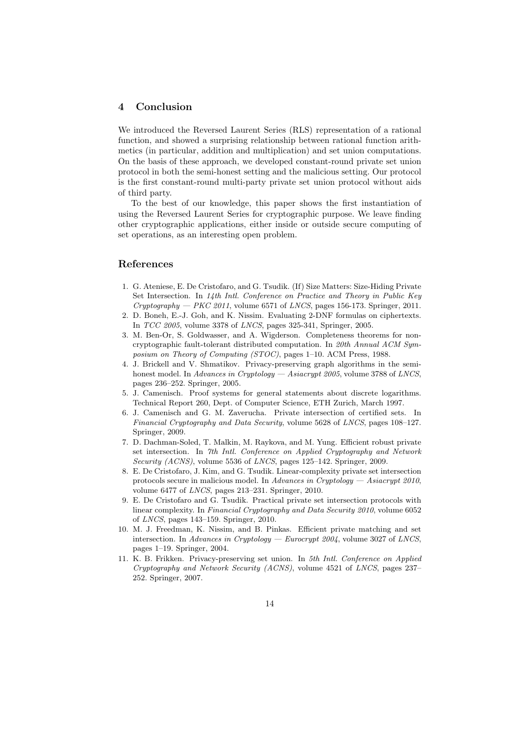### 4 Conclusion

We introduced the Reversed Laurent Series (RLS) representation of a rational function, and showed a surprising relationship between rational function arithmetics (in particular, addition and multiplication) and set union computations. On the basis of these approach, we developed constant-round private set union protocol in both the semi-honest setting and the malicious setting. Our protocol is the first constant-round multi-party private set union protocol without aids of third party.

To the best of our knowledge, this paper shows the first instantiation of using the Reversed Laurent Series for cryptographic purpose. We leave finding other cryptographic applications, either inside or outside secure computing of set operations, as an interesting open problem.

# References

- 1. G. Ateniese, E. De Cristofaro, and G. Tsudik. (If) Size Matters: Size-Hiding Private Set Intersection. In 14th Intl. Conference on Practice and Theory in Public Key Cryptography — PKC 2011, volume 6571 of LNCS, pages 156-173. Springer, 2011.
- 2. D. Boneh, E.-J. Goh, and K. Nissim. Evaluating 2-DNF formulas on ciphertexts. In TCC 2005, volume 3378 of LNCS, pages 325-341, Springer, 2005.
- 3. M. Ben-Or, S. Goldwasser, and A. Wigderson. Completeness theorems for noncryptographic fault-tolerant distributed computation. In 20th Annual ACM Symposium on Theory of Computing (STOC), pages 1–10. ACM Press, 1988.
- 4. J. Brickell and V. Shmatikov. Privacy-preserving graph algorithms in the semihonest model. In Advances in Cryptology — Asiacrypt 2005, volume 3788 of LNCS, pages 236–252. Springer, 2005.
- 5. J. Camenisch. Proof systems for general statements about discrete logarithms. Technical Report 260, Dept. of Computer Science, ETH Zurich, March 1997.
- 6. J. Camenisch and G. M. Zaverucha. Private intersection of certified sets. In Financial Cryptography and Data Security, volume 5628 of LNCS, pages 108–127. Springer, 2009.
- 7. D. Dachman-Soled, T. Malkin, M. Raykova, and M. Yung. Efficient robust private set intersection. In 7th Intl. Conference on Applied Cryptography and Network Security (ACNS), volume 5536 of LNCS, pages 125–142. Springer, 2009.
- 8. E. De Cristofaro, J. Kim, and G. Tsudik. Linear-complexity private set intersection protocols secure in malicious model. In Advances in Cryptology — Asiacrypt 2010, volume 6477 of  $LNCS$ , pages 213–231. Springer, 2010.
- 9. E. De Cristofaro and G. Tsudik. Practical private set intersection protocols with linear complexity. In Financial Cryptography and Data Security 2010, volume 6052 of LNCS, pages 143–159. Springer, 2010.
- 10. M. J. Freedman, K. Nissim, and B. Pinkas. Efficient private matching and set intersection. In Advances in Cryptology — Eurocrypt  $2004$ , volume 3027 of LNCS, pages 1–19. Springer, 2004.
- 11. K. B. Frikken. Privacy-preserving set union. In 5th Intl. Conference on Applied Cryptography and Network Security (ACNS), volume 4521 of LNCS, pages 237– 252. Springer, 2007.